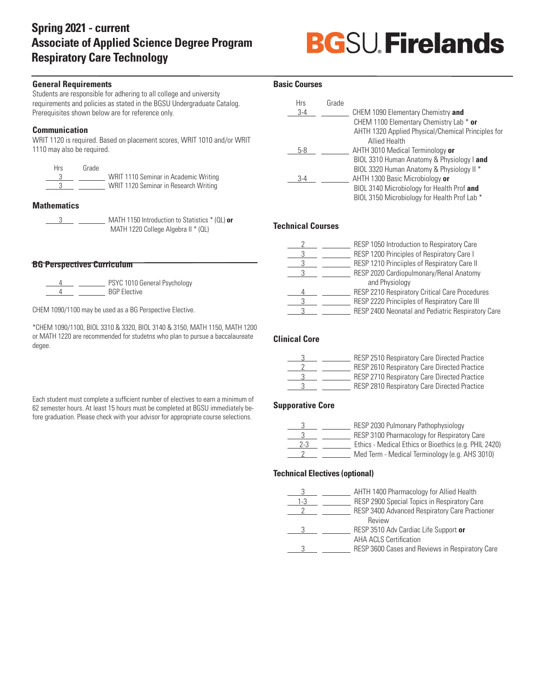# **Spring 2021 - current Associate of Applied Science Degree Program Respiratory Care Technology**

# **BGSU Firelands**

# **General Requirements**

Students are responsible for adhering to all college and university requirements and policies as stated in the BGSU Undergraduate Catalog. Prerequisites shown below are for reference only.

# **Communication**

WRIT 1120 is required. Based on placement scores, WRIT 1010 and/or WRIT 1110 may also be required.

| <b>Hrs</b> | Grade |                                       |
|------------|-------|---------------------------------------|
|            |       | WRIT 1110 Seminar in Academic Writing |
|            |       | WRIT 1120 Seminar in Research Writing |

# **Mathematics**

| MATH 1150 Introduction to Statistics * (QL) or |
|------------------------------------------------|
| MATH 1220 College Algebra II * (QL)            |

# **BG Perspectives Curriculum**

PSYC 1010 General Psychology  $\frac{4}{4}$   $\frac{1}{2}$  BGP Elective

CHEM 1090/1100 may be used as a BG Perspective Elective.

\*CHEM 1090/1100, BIOL 3310 & 3320, BIOL 3140 & 3150, MATH 1150, MATH 1200 or MATH 1220 are recommended for studetns who plan to pursue a baccalaureate degee.

Each student must complete a sufficient number of electives to earn a minimum of 62 semester hours. At least 15 hours must be completed at BGSU immediately before graduation. Please check with your advisor for appropriate course selections.

# **Basic Courses**

| Hrs   | Grade |                                                    |
|-------|-------|----------------------------------------------------|
| $3-4$ |       | CHEM 1090 Elementary Chemistry and                 |
|       |       | CHEM 1100 Elementary Chemistry Lab * or            |
|       |       | AHTH 1320 Applied Physical/Chemical Principles for |
|       |       | <b>Allied Health</b>                               |
| 5-8   |       | AHTH 3010 Medical Terminology or                   |
|       |       | BIOL 3310 Human Anatomy & Physiology I and         |
|       |       | BIOL 3320 Human Anatomy & Physiology II *          |
| $3-4$ |       | AHTH 1300 Basic Microbiology or                    |
|       |       | BIOL 3140 Microbiology for Health Prof and         |
|       |       | BIOL 3150 Microbiology for Health Prof Lab *       |

#### **Technical Courses**

|  | RESP 1050 Introduction to Respiratory Care        |
|--|---------------------------------------------------|
|  | RESP 1200 Principles of Respiratory Care I        |
|  | RESP 1210 Princiiples of Respiratory Care II      |
|  | RESP 2020 Cardiopulmonary/Renal Anatomy           |
|  | and Physiology                                    |
|  | RESP 2210 Respiratory Critical Care Procedures    |
|  | RESP 2220 Princiiples of Respiratory Care III     |
|  | RESP 2400 Neonatal and Pediatric Respiratory Care |

# **Clinical Core**

|  | <b>RESP 2510 Respiratory Care Directed Practice</b> |
|--|-----------------------------------------------------|
|  | <b>RESP 2610 Respiratory Care Directed Practice</b> |
|  | <b>RESP 2710 Respiratory Care Directed Practice</b> |
|  | RESP 2810 Respiratory Care Directed Practice        |

# **Supporative Core**

|     | RESP 2030 Pulmonary Pathophysiology                   |
|-----|-------------------------------------------------------|
|     | RESP 3100 Pharmacology for Respiratory Care           |
| 2-3 | Ethics - Medical Ethics or Bioethics (e.g. PHIL 2420) |
|     | Med Term - Medical Terminology (e.g. AHS 3010)        |

#### **Technical Electives (optional)**

|     | AHTH 1400 Pharmacology for Allied Health        |
|-----|-------------------------------------------------|
| 1-3 | RESP 2900 Special Topics in Respiratory Care    |
|     | RESP 3400 Advanced Respiratory Care Practioner  |
|     | Review                                          |
|     | RESP 3510 Adv Cardiac Life Support or           |
|     | <b>AHA ACLS Certification</b>                   |
|     | RESP 3600 Cases and Reviews in Respiratory Care |